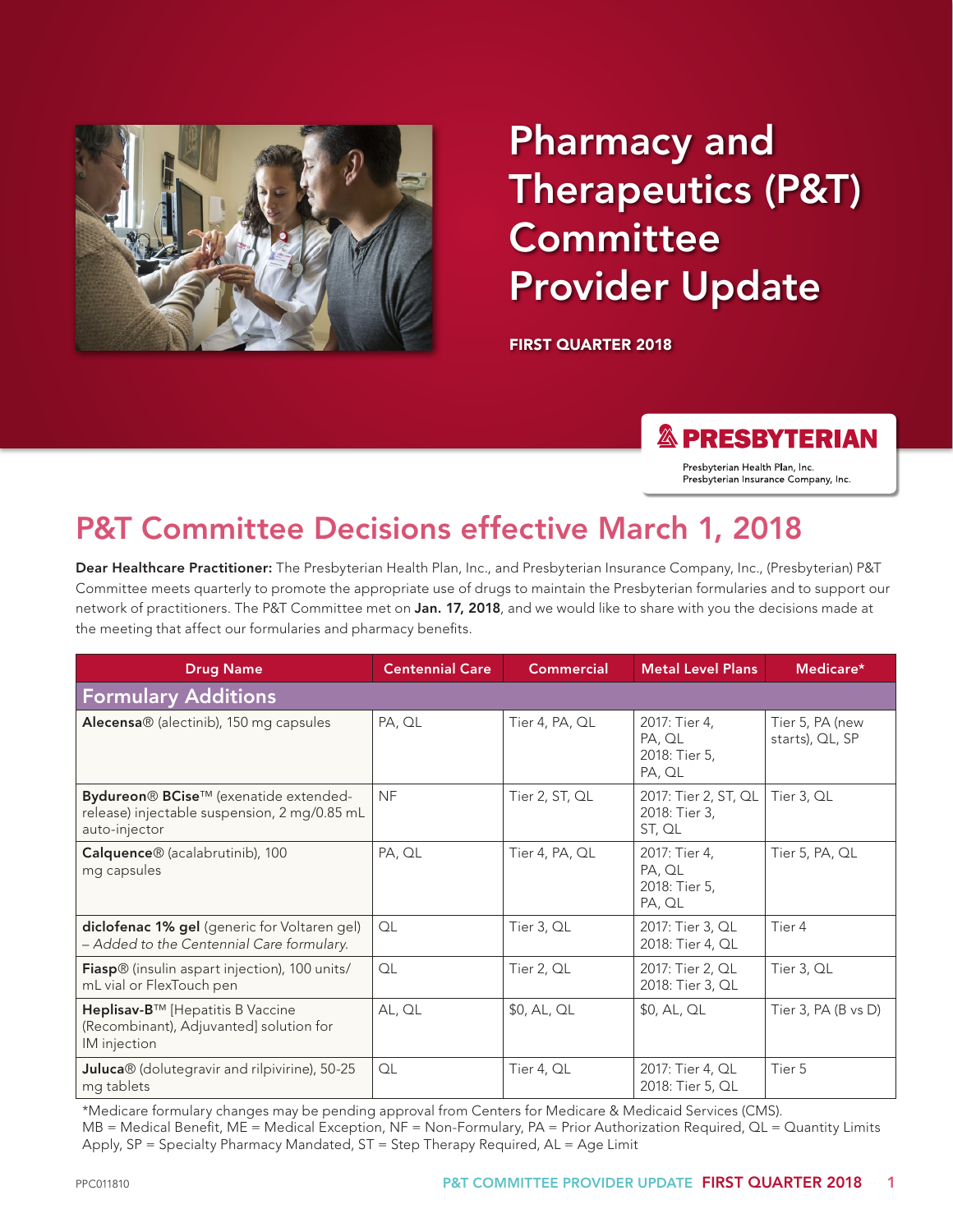

# Pharmacy and Therapeutics (P&T) **Committee** Provider Update

FIRST QUARTER 2018

**& PRESBYTERIAN** 

Presbyterian Health Plan, Inc. Presbyterian Insurance Company, Inc.

## P&T Committee Decisions effective March 1, 2018

Dear Healthcare Practitioner: The Presbyterian Health Plan, Inc., and Presbyterian Insurance Company, Inc., (Presbyterian) P&T Committee meets quarterly to promote the appropriate use of drugs to maintain the Presbyterian formularies and to support our network of practitioners. The P&T Committee met on Jan. 17, 2018, and we would like to share with you the decisions made at the meeting that affect our formularies and pharmacy benefits.

| <b>Drug Name</b>                                                                                       | <b>Centennial Care</b> | <b>Commercial</b> | <b>Metal Level Plans</b>                           | Medicare*                          |  |  |  |
|--------------------------------------------------------------------------------------------------------|------------------------|-------------------|----------------------------------------------------|------------------------------------|--|--|--|
| <b>Formulary Additions</b>                                                                             |                        |                   |                                                    |                                    |  |  |  |
| Alecensa® (alectinib), 150 mg capsules                                                                 | PA, QL                 | Tier 4, PA, QL    | 2017: Tier 4,<br>PA, QL<br>2018: Tier 5,<br>PA, QL | Tier 5, PA (new<br>starts), QL, SP |  |  |  |
| Bydureon® BCise™ (exenatide extended-<br>release) injectable suspension, 2 mg/0.85 mL<br>auto-injector | <b>NF</b>              | Tier 2, ST, QL    | 2017: Tier 2, ST, QL<br>2018: Tier 3,<br>ST, QL    | Tier 3, QL                         |  |  |  |
| Calquence <sup>®</sup> (acalabrutinib), 100<br>mg capsules                                             | PA, QL                 | Tier 4, PA, QL    | 2017: Tier 4,<br>PA, QL<br>2018: Tier 5,<br>PA, QL | Tier 5, PA, QL                     |  |  |  |
| diclofenac 1% gel (generic for Voltaren gel)<br>- Added to the Centennial Care formulary.              | QL                     | Tier 3, QL        | 2017: Tier 3, QL<br>2018: Tier 4, QL               | Tier 4                             |  |  |  |
| Fiasp <sup>®</sup> (insulin aspart injection), 100 units/<br>mL vial or FlexTouch pen                  | OL                     | Tier 2, QL        | 2017: Tier 2, QL<br>2018: Tier 3, QL               | Tier 3, QL                         |  |  |  |
| Heplisav-B™ [Hepatitis B Vaccine<br>(Recombinant), Adjuvanted] solution for<br>IM injection            | AL, QL                 | \$0, AL, QL       | \$0, AL, QL                                        | Tier $3$ , PA (B vs D)             |  |  |  |
| Juluca® (dolutegravir and rilpivirine), 50-25<br>mg tablets                                            | QL                     | Tier 4, QL        | 2017: Tier 4, QL<br>2018: Tier 5, QL               | Tier 5                             |  |  |  |

\*Medicare formulary changes may be pending approval from Centers for Medicare & Medicaid Services (CMS). MB = Medical Benefit, ME = Medical Exception, NF = Non-Formulary, PA = Prior Authorization Required, QL = Quantity Limits Apply, SP = Specialty Pharmacy Mandated, ST = Step Therapy Required, AL = Age Limit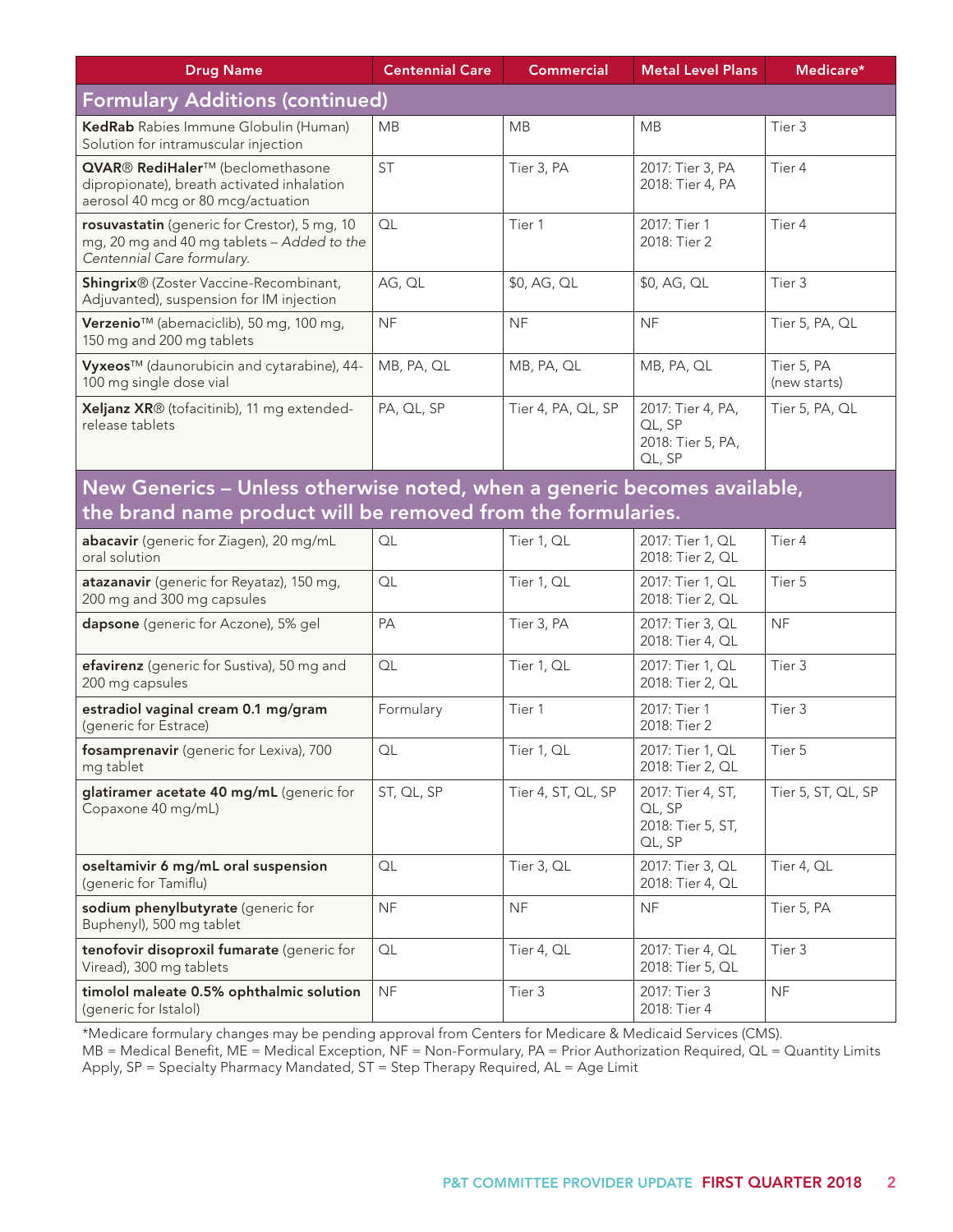| <b>Drug Name</b>                                                                                                                         | <b>Centennial Care</b> | <b>Commercial</b>  | <b>Metal Level Plans</b>                                   | Medicare*                  |  |  |  |
|------------------------------------------------------------------------------------------------------------------------------------------|------------------------|--------------------|------------------------------------------------------------|----------------------------|--|--|--|
| <b>Formulary Additions (continued)</b>                                                                                                   |                        |                    |                                                            |                            |  |  |  |
| KedRab Rabies Immune Globulin (Human)<br>Solution for intramuscular injection                                                            | <b>MB</b>              | <b>MB</b>          | <b>MB</b>                                                  | Tier 3                     |  |  |  |
| QVAR® RediHaler™ (beclomethasone<br>dipropionate), breath activated inhalation<br>aerosol 40 mcg or 80 mcg/actuation                     | <b>ST</b>              | Tier 3, PA         | 2017: Tier 3, PA<br>2018: Tier 4, PA                       | Tier 4                     |  |  |  |
| rosuvastatin (generic for Crestor), 5 mg, 10<br>mg, 20 mg and 40 mg tablets - Added to the<br>Centennial Care formulary.                 | QL                     | Tier 1             | 2017: Tier 1<br>2018: Tier 2                               | Tier 4                     |  |  |  |
| <b>Shingrix</b> ® (Zoster Vaccine-Recombinant,<br>Adjuvanted), suspension for IM injection                                               | AG, QL                 | \$0, AG, QL        | \$0, AG, QL                                                | Tier 3                     |  |  |  |
| Verzenio <sup>™</sup> (abemaciclib), 50 mg, 100 mg,<br>150 mg and 200 mg tablets                                                         | <b>NF</b>              | <b>NF</b>          | <b>NF</b>                                                  | Tier 5, PA, QL             |  |  |  |
| Vyxeos™ (daunorubicin and cytarabine), 44-<br>100 mg single dose vial                                                                    | MB, PA, QL             | MB, PA, QL         | MB, PA, QL                                                 | Tier 5, PA<br>(new starts) |  |  |  |
| Xeljanz XR® (tofacitinib), 11 mg extended-<br>release tablets                                                                            | PA, QL, SP             | Tier 4, PA, QL, SP | 2017: Tier 4, PA,<br>QL, SP<br>2018: Tier 5, PA,<br>QL, SP | Tier 5, PA, QL             |  |  |  |
| New Generics - Unless otherwise noted, when a generic becomes available,<br>the brand name product will be removed from the formularies. |                        |                    |                                                            |                            |  |  |  |
| abacavir (generic for Ziagen), 20 mg/mL<br>oral solution                                                                                 | QL                     | Tier 1, QL         | 2017: Tier 1, QL<br>2018: Tier 2, QL                       | Tier 4                     |  |  |  |
| atazanavir (generic for Reyataz), 150 mg,<br>200 mg and 300 mg capsules                                                                  | QL                     | Tier 1, QL         | 2017: Tier 1, QL<br>2018: Tier 2, QL                       | Tier 5                     |  |  |  |
| dapsone (generic for Aczone), 5% gel                                                                                                     | PA                     | Tier 3, PA         | 2017: Tier 3, QL<br>2018: Tier 4, QL                       | <b>NF</b>                  |  |  |  |
| efavirenz (generic for Sustiva), 50 mg and<br>200 mg capsules                                                                            | QL                     | Tier 1, QL         | 2017: Tier 1, QL<br>2018: Tier 2, QL                       | Tier 3                     |  |  |  |
| estradiol vaginal cream 0.1 mg/gram<br>(generic for Estrace)                                                                             | Formulary              | Tier 1             | 2017: Tier 1<br>2018: Tier 2                               | Tier 3                     |  |  |  |
| fosamprenavir (generic for Lexiva), 700<br>mg tablet                                                                                     | QL                     | Tier 1, QL         | 2017: Tier 1, QL<br>2018: Tier 2, QL                       | Tier 5                     |  |  |  |
| glatiramer acetate 40 mg/mL (generic for<br>Copaxone 40 mg/mL)                                                                           | ST, QL, SP             | Tier 4, ST, QL, SP | 2017: Tier 4, ST,<br>QL, SP<br>2018: Tier 5, ST,<br>QL, SP | Tier 5, ST, QL, SP         |  |  |  |
| oseltamivir 6 mg/mL oral suspension<br>(generic for Tamiflu)                                                                             | QL                     | Tier 3, QL         | 2017: Tier 3, QL<br>2018: Tier 4, QL                       | Tier 4, QL                 |  |  |  |
| sodium phenylbutyrate (generic for<br>Buphenyl), 500 mg tablet                                                                           | <b>NF</b>              | <b>NF</b>          | <b>NF</b>                                                  | Tier 5, PA                 |  |  |  |
| tenofovir disoproxil fumarate (generic for                                                                                               | $\hbox{\sf OL}$        | Tier 4, QL         | 2017: Tier 4, QL                                           | Tier 3                     |  |  |  |

\*Medicare formulary changes may be pending approval from Centers for Medicare & Medicaid Services (CMS).

Viread), 300 mg tablets

(generic for Istalol)

timolol maleate 0.5% ophthalmic solution

MB = Medical Benefit, ME = Medical Exception, NF = Non-Formulary, PA = Prior Authorization Required, QL = Quantity Limits Apply, SP = Specialty Pharmacy Mandated, ST = Step Therapy Required, AL = Age Limit

NF Tier 3 2017: Tier 3

2018: Tier 5, QL

NF

2018: Tier 4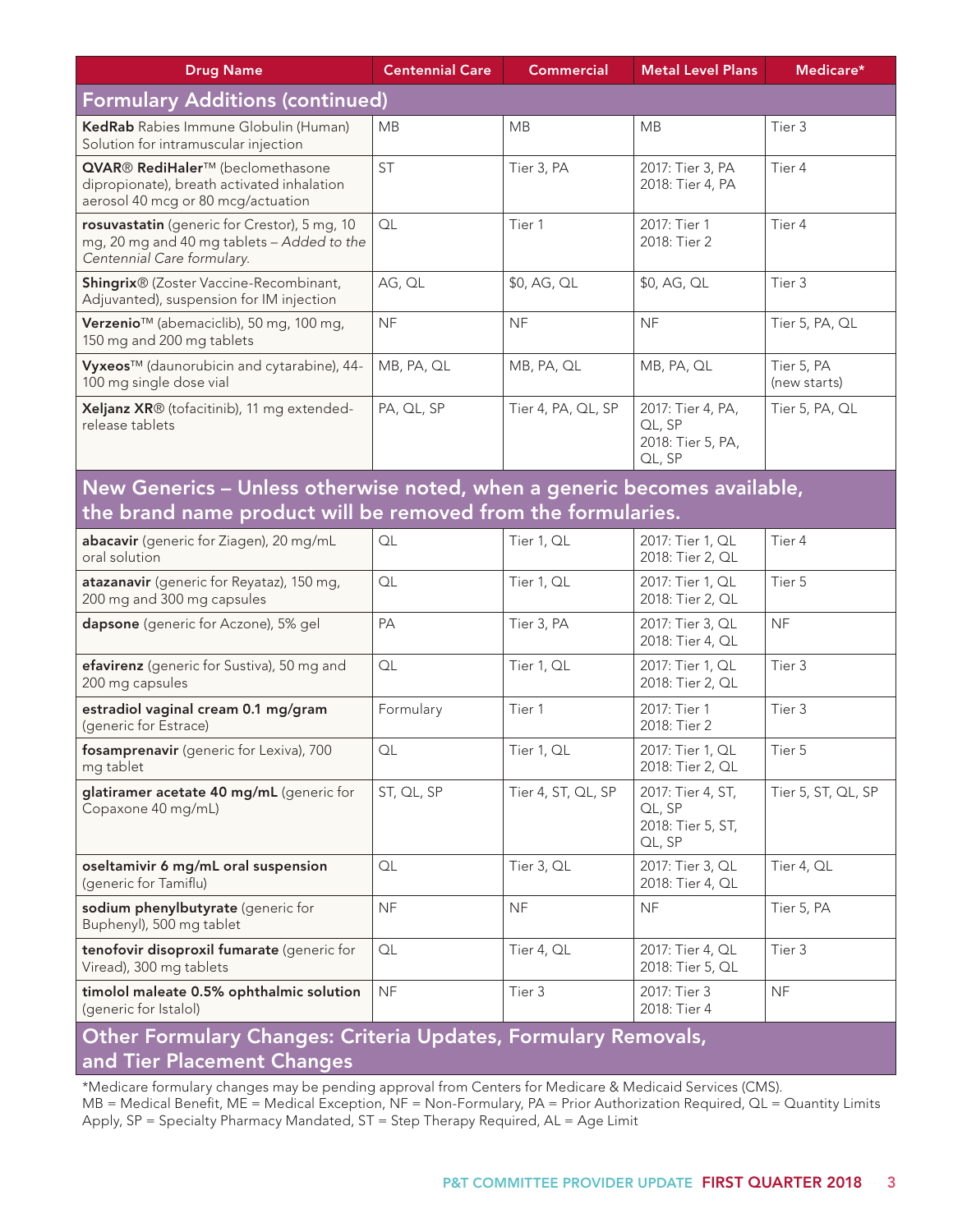| <b>Drug Name</b>                                                                                                                         | <b>Centennial Care</b> | <b>Commercial</b>  | <b>Metal Level Plans</b>                                   | Medicare*                  |  |  |  |
|------------------------------------------------------------------------------------------------------------------------------------------|------------------------|--------------------|------------------------------------------------------------|----------------------------|--|--|--|
| <b>Formulary Additions (continued)</b>                                                                                                   |                        |                    |                                                            |                            |  |  |  |
| KedRab Rabies Immune Globulin (Human)<br>Solution for intramuscular injection                                                            | <b>MB</b>              | <b>MB</b>          | <b>MB</b>                                                  | Tier 3                     |  |  |  |
| QVAR® RediHaler™ (beclomethasone<br>dipropionate), breath activated inhalation<br>aerosol 40 mcg or 80 mcg/actuation                     | <b>ST</b>              | Tier 3, PA         | 2017: Tier 3, PA<br>2018: Tier 4, PA                       | Tier 4                     |  |  |  |
| rosuvastatin (generic for Crestor), 5 mg, 10<br>mg, 20 mg and 40 mg tablets - Added to the<br>Centennial Care formulary.                 | QL                     | Tier 1             | 2017: Tier 1<br>2018: Tier 2                               | Tier 4                     |  |  |  |
| Shingrix® (Zoster Vaccine-Recombinant,<br>Adjuvanted), suspension for IM injection                                                       | AG, QL                 | \$0, AG, QL        | \$0, AG, QL                                                | Tier 3                     |  |  |  |
| Verzenio <sup>™</sup> (abemaciclib), 50 mg, 100 mg,<br>150 mg and 200 mg tablets                                                         | <b>NF</b>              | <b>NF</b>          | <b>NF</b>                                                  | Tier 5, PA, QL             |  |  |  |
| Vyxeos™ (daunorubicin and cytarabine), 44-<br>100 mg single dose vial                                                                    | MB, PA, QL             | MB, PA, QL         | MB, PA, QL                                                 | Tier 5, PA<br>(new starts) |  |  |  |
| Xeljanz XR® (tofacitinib), 11 mg extended-<br>release tablets                                                                            | PA, QL, SP             | Tier 4, PA, QL, SP | 2017: Tier 4, PA,<br>QL, SP<br>2018: Tier 5, PA,<br>QL, SP | Tier 5, PA, QL             |  |  |  |
| New Generics - Unless otherwise noted, when a generic becomes available,<br>the brand name product will be removed from the formularies. |                        |                    |                                                            |                            |  |  |  |
| abacavir (generic for Ziagen), 20 mg/mL<br>oral solution                                                                                 | QL                     | Tier 1, QL         | 2017: Tier 1, QL<br>2018: Tier 2, QL                       | Tier 4                     |  |  |  |
| atazanavir (generic for Reyataz), 150 mg,<br>200 mg and 300 mg capsules                                                                  | QL                     | Tier 1, QL         | 2017: Tier 1, QL<br>2018: Tier 2, QL                       | Tier 5                     |  |  |  |
| dapsone (generic for Aczone), 5% gel                                                                                                     | PA                     | Tier 3, PA         | 2017: Tier 3, QL<br>2018: Tier 4, QL                       | <b>NF</b>                  |  |  |  |
| efavirenz (generic for Sustiva), 50 mg and<br>200 mg capsules                                                                            | QL                     | Tier 1, QL         | 2017: Tier 1, QL<br>2018: Tier 2, QL                       | Tier <sub>3</sub>          |  |  |  |
| estradiol vaginal cream 0.1 mg/gram<br>(generic for Estrace)                                                                             | Formulary              | Tier 1             | 2017: Tier 1<br>2018: Tier 2                               | Tier 3                     |  |  |  |
| fosamprenavir (generic for Lexiva), 700<br>mg tablet                                                                                     | QL                     | Tier 1, QL         | 2017: Tier 1, QL<br>2018: Tier 2, QL                       | Tier 5                     |  |  |  |
| glatiramer acetate 40 mg/mL (generic for<br>Copaxone 40 mg/mL)                                                                           | ST, QL, SP             | Tier 4, ST, QL, SP | 2017: Tier 4, ST,<br>QL, SP<br>2018: Tier 5, ST,           | Tier 5, ST, QL, SP         |  |  |  |

#### Other Formulary Changes: Criteria Updates, Formulary Removals, and Tier Placement Changes

oseltamivir 6 mg/mL oral suspension

sodium phenylbutyrate (generic for

tenofovir disoproxil fumarate (generic for

timolol maleate 0.5% ophthalmic solution

(generic for Tamiflu)

Buphenyl), 500 mg tablet

Viread), 300 mg tablets

(generic for Istalol)

\*Medicare formulary changes may be pending approval from Centers for Medicare & Medicaid Services (CMS). MB = Medical Benefit, ME = Medical Exception, NF = Non-Formulary, PA = Prior Authorization Required, QL = Quantity Limits Apply, SP = Specialty Pharmacy Mandated, ST = Step Therapy Required, AL = Age Limit

QL, SP

2018: Tier 4, QL

2018: Tier 5, QL

2018: Tier 4

Tier 4, QL

Tier 3

NF

QL Tier 3, QL 2017: Tier 3, QL

QL Tier 4, QL 2017: Tier 4, QL

NF Tier 3 2017: Tier 3

NF NF NF Tier 5, PA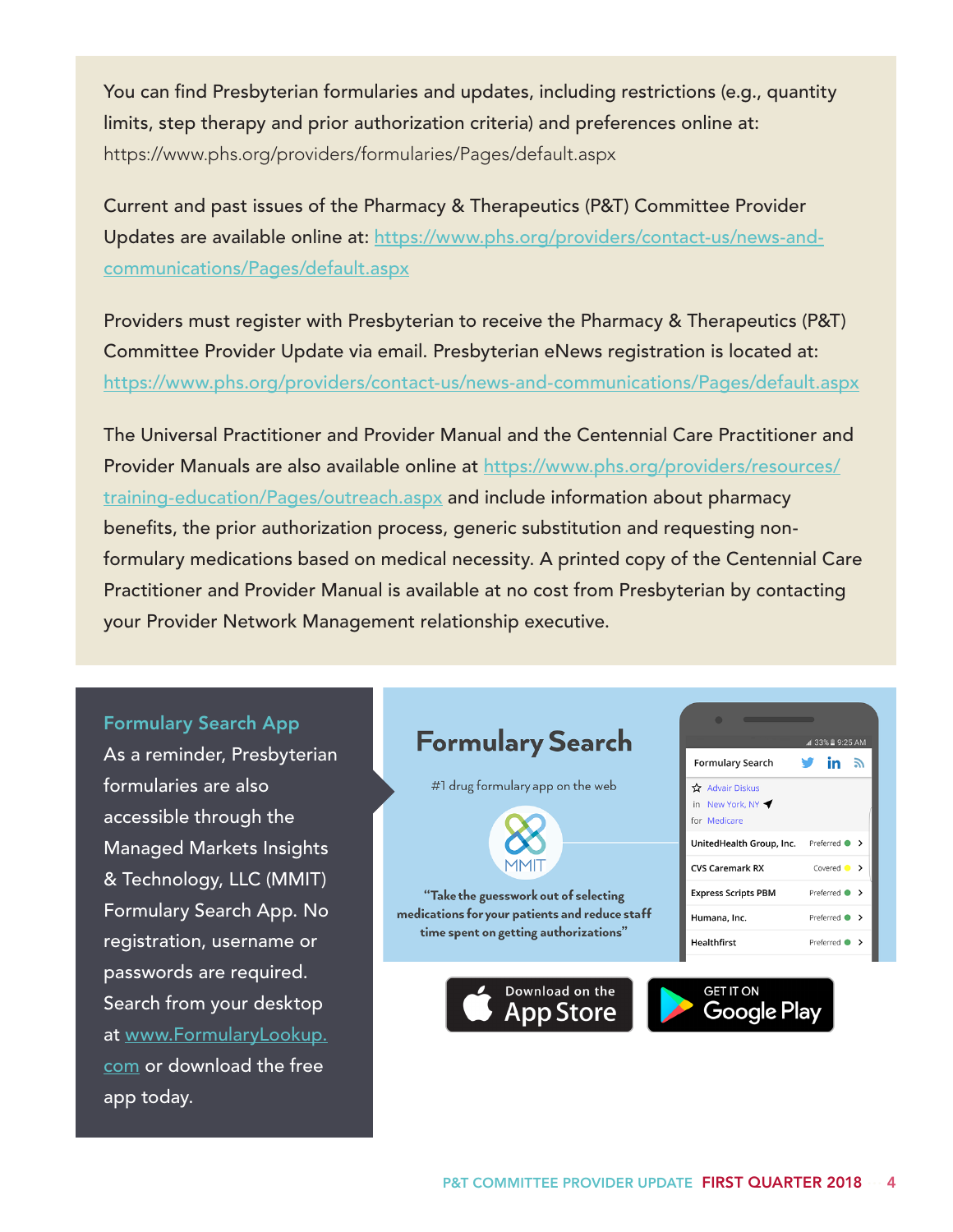You can find Presbyterian formularies and updates, including restrictions (e.g., quantity limits, step therapy and prior authorization criteria) and preferences online at: https://www.phs.org/providers/formularies/Pages/default.aspx

Current and past issues of the Pharmacy & Therapeutics (P&T) Committee Provider Updates are available online at: https://www.phs.org/providers/contact-us/news-andcommunications/Pages/default.aspx

Providers must register with Presbyterian to receive the Pharmacy & Therapeutics (P&T) Committee Provider Update via email. Presbyterian eNews registration is located at: https://www.phs.org/providers/contact-us/news-and-communications/Pages/default.aspx

The Universal Practitioner and Provider Manual and the Centennial Care Practitioner and Provider Manuals are also available online at https://www.phs.org/providers/resources/ training-education/Pages/outreach.aspx and include information about pharmacy benefits, the prior authorization process, generic substitution and requesting nonformulary medications based on medical necessity. A printed copy of the Centennial Care Practitioner and Provider Manual is available at no cost from Presbyterian by contacting your Provider Network Management relationship executive.

#### Formulary Search App

As a reminder, Presbyterian formularies are also accessible through the Managed Markets Insights & Technology, LLC (MMIT) Formulary Search App. No registration, username or passwords are required. Search from your desktop at www.FormularyLookup. com or download the free app today.

#### **Formulary Search**

#1 drug formulary app on the web

"Take the guesswork out of selecting medications for your patients and reduce staff time spent on getting authorizations"

Download on the

**App Store** 



**Formulary Search** 

UnitedHealth Group, Inc.

☆ Advair Diskus in New York, NY for Medicare

**CVS Caremark RX Express Scripts PBM**  1 33% ■ 9:25 AM

Preferred • > Covered  $\bullet$  >

Preferred  $\bullet$  >

in ৯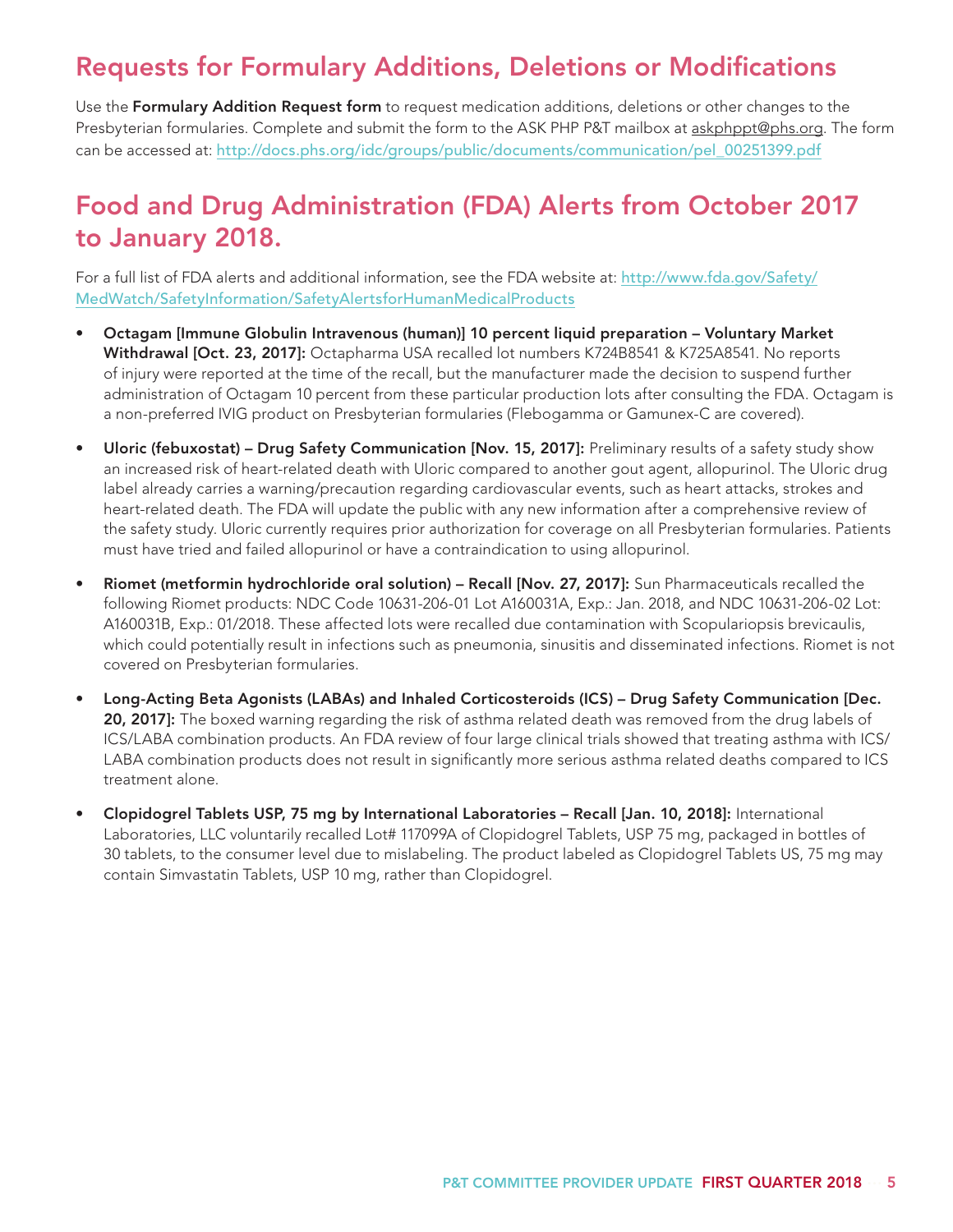### Requests for Formulary Additions, Deletions or Modifications

Use the Formulary Addition Request form to request medication additions, deletions or other changes to the Presbyterian formularies. Complete and submit the form to the ASK PHP P&T mailbox at askphppt@phs.org. The form can be accessed at: http://docs.phs.org/idc/groups/public/documents/communication/pel\_00251399.pdf

## Food and Drug Administration (FDA) Alerts from October 2017 to January 2018.

For a full list of FDA alerts and additional information, see the FDA website at: http://www.fda.gov/Safety/ MedWatch/SafetyInformation/SafetyAlertsforHumanMedicalProducts

- Octagam [Immune Globulin Intravenous (human)] 10 percent liquid preparation Voluntary Market Withdrawal [Oct. 23, 2017]: Octapharma USA recalled lot numbers K724B8541 & K725A8541. No reports of injury were reported at the time of the recall, but the manufacturer made the decision to suspend further administration of Octagam 10 percent from these particular production lots after consulting the FDA. Octagam is a non-preferred IVIG product on Presbyterian formularies (Flebogamma or Gamunex-C are covered).
- Uloric (febuxostat) Drug Safety Communication [Nov. 15, 2017]: Preliminary results of a safety study show an increased risk of heart-related death with Uloric compared to another gout agent, allopurinol. The Uloric drug label already carries a warning/precaution regarding cardiovascular events, such as heart attacks, strokes and heart-related death. The FDA will update the public with any new information after a comprehensive review of the safety study. Uloric currently requires prior authorization for coverage on all Presbyterian formularies. Patients must have tried and failed allopurinol or have a contraindication to using allopurinol.
- Riomet (metformin hydrochloride oral solution) Recall [Nov. 27, 2017]: Sun Pharmaceuticals recalled the following Riomet products: NDC Code 10631-206-01 Lot A160031A, Exp.: Jan. 2018, and NDC 10631-206-02 Lot: A160031B, Exp.: 01/2018. These affected lots were recalled due contamination with Scopulariopsis brevicaulis, which could potentially result in infections such as pneumonia, sinusitis and disseminated infections. Riomet is not covered on Presbyterian formularies.
- Long-Acting Beta Agonists (LABAs) and Inhaled Corticosteroids (ICS) Drug Safety Communication [Dec. 20, 2017]: The boxed warning regarding the risk of asthma related death was removed from the drug labels of ICS/LABA combination products. An FDA review of four large clinical trials showed that treating asthma with ICS/ LABA combination products does not result in significantly more serious asthma related deaths compared to ICS treatment alone.
- Clopidogrel Tablets USP, 75 mg by International Laboratories Recall [Jan. 10, 2018]: International Laboratories, LLC voluntarily recalled Lot# 117099A of Clopidogrel Tablets, USP 75 mg, packaged in bottles of 30 tablets, to the consumer level due to mislabeling. The product labeled as Clopidogrel Tablets US, 75 mg may contain Simvastatin Tablets, USP 10 mg, rather than Clopidogrel.